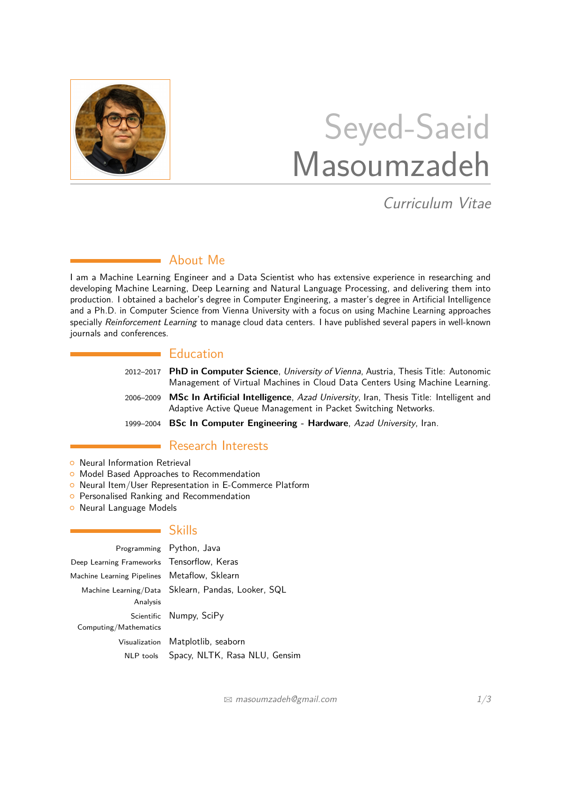

# Seyed-Saeid Masoumzadeh

Curriculum Vitae

# About Me

I am a Machine Learning Engineer and a Data Scientist who has extensive experience in researching and developing Machine Learning, Deep Learning and Natural Language Processing, and delivering them into production. I obtained a bachelor's degree in Computer Engineering, a master's degree in Artificial Intelligence and a Ph.D. in Computer Science from Vienna University with a focus on using Machine Learning approaches specially Reinforcement Learning to manage cloud data centers. I have published several papers in well-known journals and conferences.

## **Education**

- 2012–2017 **PhD in Computer Science**, University of Vienna, Austria, Thesis Title: Autonomic Management of Virtual Machines in Cloud Data Centers Using Machine Learning.
- 2006–2009 **MSc In Artificial Intelligence**, Azad University, Iran, Thesis Title: Intelligent and Adaptive Active Queue Management in Packet Switching Networks.
- 1999–2004 **BSc In Computer Engineering Hardware**, Azad University, Iran.

# **Research Interests**

- **O** Neural Information Retrieval
- **o** Model Based Approaches to Recommendation
- **o** Neural Item/User Representation in E-Commerce Platform
- **o** Personalised Ranking and Recommendation
- **o** Neural Language Models

## **Skills**

|                                              | Programming Python, Java                           |  |
|----------------------------------------------|----------------------------------------------------|--|
| Deep Learning Frameworks Tensorflow, Keras   |                                                    |  |
| Machine Learning Pipelines Metaflow, Sklearn |                                                    |  |
| Analysis                                     | Machine Learning/Data Sklearn, Pandas, Looker, SQL |  |
|                                              | Scientific Numpy, SciPy                            |  |
| Computing/Mathematics                        |                                                    |  |
|                                              | Visualization Matplotlib, seaborn                  |  |
|                                              | NLP tools Spacy, NLTK, Rasa NLU, Gensim            |  |

 $\boxtimes$  [masoumzadeh@gmail.com](mailto:masoumzadeh@gmail.com)  $1/3$  $1/3$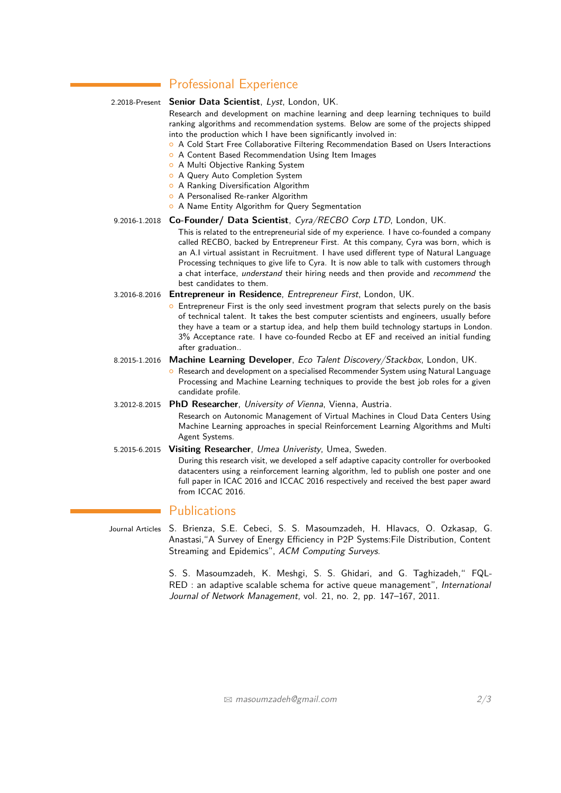# **Professional Experience**

| 2.2018-Present |  |
|----------------|--|

Senior Data Scientist, Lyst, London, UK.

Research and development on machine learning and deep learning techniques to build ranking algorithms and recommendation systems. Below are some of the projects shipped into the production which I have been significantly involved in:

- **O** A Cold Start Free Collaborative Filtering Recommendation Based on Users Interactions
- **O** A Content Based Recommendation Using Item Images
- **O** A Multi Objective Ranking System
- **O** A Query Auto Completion System
- **A Ranking Diversification Algorithm**
- **O** A Personalised Re-ranker Algorithm
- <sup>o</sup> A Name Entity Algorithm for Query Segmentation

## 9.2016-1.2018 **Co-Founder/ Data Scientist**, Cyra/RECBO Corp LTD, London, UK.

This is related to the entrepreneurial side of my experience. I have co-founded a company called RECBO, backed by Entrepreneur First. At this company, Cyra was born, which is an A.I virtual assistant in Recruitment. I have used different type of Natural Language Processing techniques to give life to Cyra. It is now able to talk with customers through a chat interface, understand their hiring needs and then provide and recommend the best candidates to them.

## 3.2016-8.2016 **Entrepreneur in Residence**, Entrepreneur First, London, UK.

**•** Entrepreneur First is the only seed investment program that selects purely on the basis of technical talent. It takes the best computer scientists and engineers, usually before they have a team or a startup idea, and help them build technology startups in London. 3% Acceptance rate. I have co-founded Recbo at EF and received an initial funding after graduation..

## 8.2015-1.2016 **Machine Learning Developer**, Eco Talent Discovery/Stackbox, London, UK.

<sup>o</sup> Research and development on a specialised Recommender System using Natural Language Processing and Machine Learning techniques to provide the best job roles for a given candidate profile.

## 3.2012-8.2015 **PhD Researcher**, University of Vienna, Vienna, Austria.

Research on Autonomic Management of Virtual Machines in Cloud Data Centers Using Machine Learning approaches in special Reinforcement Learning Algorithms and Multi Agent Systems.

#### 5.2015-6.2015 **Visiting Researcher**, Umea Univeristy, Umea, Sweden.

During this research visit, we developed a self adaptive capacity controller for overbooked datacenters using a reinforcement learning algorithm, led to publish one poster and one full paper in ICAC 2016 and ICCAC 2016 respectively and received the best paper award from ICCAC 2016.

## **Publications**

<span id="page-1-0"></span>Journal Articles S. Brienza, S.E. Cebeci, S. S. Masoumzadeh, H. Hlavacs, O. Ozkasap, G. Anastasi,"A Survey of Energy Efficiency in P2P Systems:File Distribution, Content Streaming and Epidemics", ACM Computing Surveys.

> S. S. Masoumzadeh, K. Meshgi, S. S. Ghidari, and G. Taghizadeh," FQL-RED : an adaptive scalable schema for active queue management", International Journal of Network Management, vol. 21, no. 2, pp. 147–167, 2011.